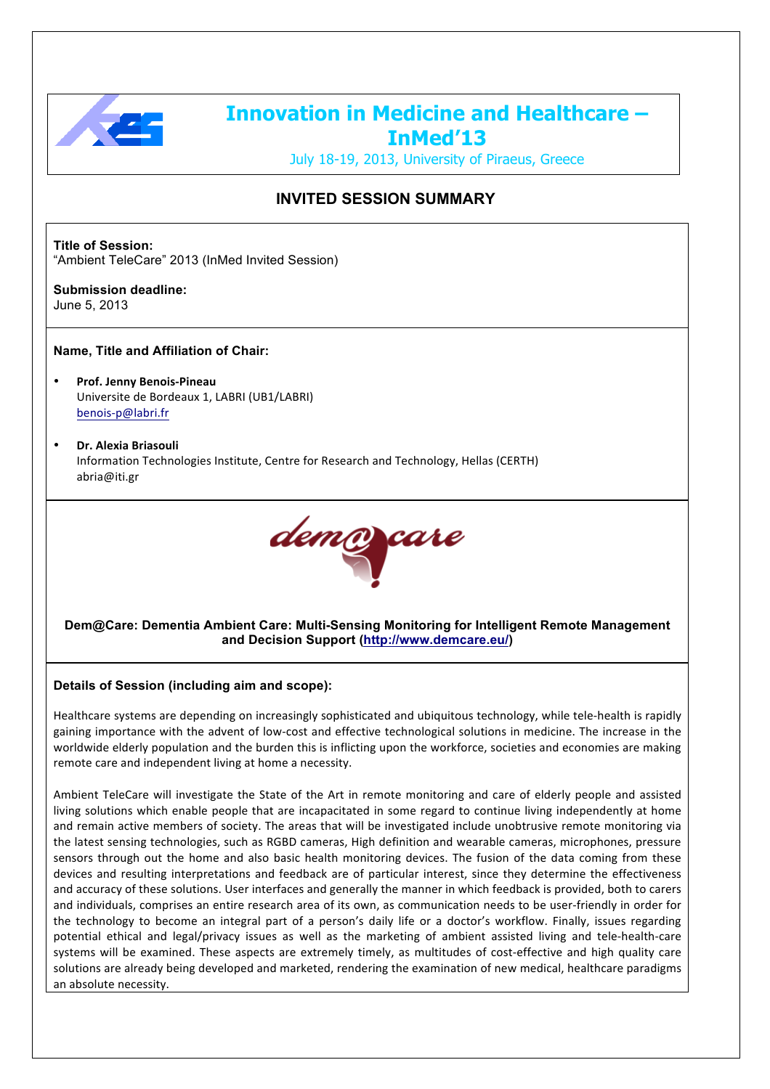

# **Innovation in Medicine and Healthcare – InMed'13**

July 18-19, 2013, University of Piraeus, Greece

# **INVITED SESSION SUMMARY**

**Title of Session:** "Ambient TeleCare" 2013 (InMed Invited Session)

**Submission deadline:**  June 5, 2013

# **Name, Title and Affiliation of Chair:**

- **Prof. Jenny Benois-Pineau** Universite de Bordeaux 1, LABRI (UB1/LABRI) benois:p@labri.fr
- **Dr.&Alexia&Briasouli** Information Technologies Institute, Centre for Research and Technology, Hellas (CERTH) abria@iti.gr



# **Dem@Care: Dementia Ambient Care: Multi-Sensing Monitoring for Intelligent Remote Management and Decision Support (http://www.demcare.eu/)**

# **Details of Session (including aim and scope):**

Healthcare systems are depending on increasingly sophisticated and ubiquitous technology, while tele-health is rapidly gaining importance with the advent of low-cost and effective technological solutions in medicine. The increase in the worldwide elderly population and the burden this is inflicting upon the workforce, societies and economies are making remote care and independent living at home a necessity.

Ambient TeleCare will investigate the State of the Art in remote monitoring and care of elderly people and assisted living solutions which enable people that are incapacitated in some regard to continue living independently at home and remain active members of society. The areas that will be investigated include unobtrusive remote monitoring via the latest sensing technologies, such as RGBD cameras, High definition and wearable cameras, microphones, pressure sensors through out the home and also basic health monitoring devices. The fusion of the data coming from these devices and resulting interpretations and feedback are of particular interest, since they determine the effectiveness and accuracy of these solutions. User interfaces and generally the manner in which feedback is provided, both to carers and individuals, comprises an entire research area of its own, as communication needs to be user-friendly in order for the technology to become an integral part of a person's daily life or a doctor's workflow. Finally, issues regarding potential ethical and legal/privacy issues as well as the marketing of ambient assisted living and tele-health-care systems will be examined. These aspects are extremely timely, as multitudes of cost-effective and high quality care solutions are already being developed and marketed, rendering the examination of new medical, healthcare paradigms an absolute necessity.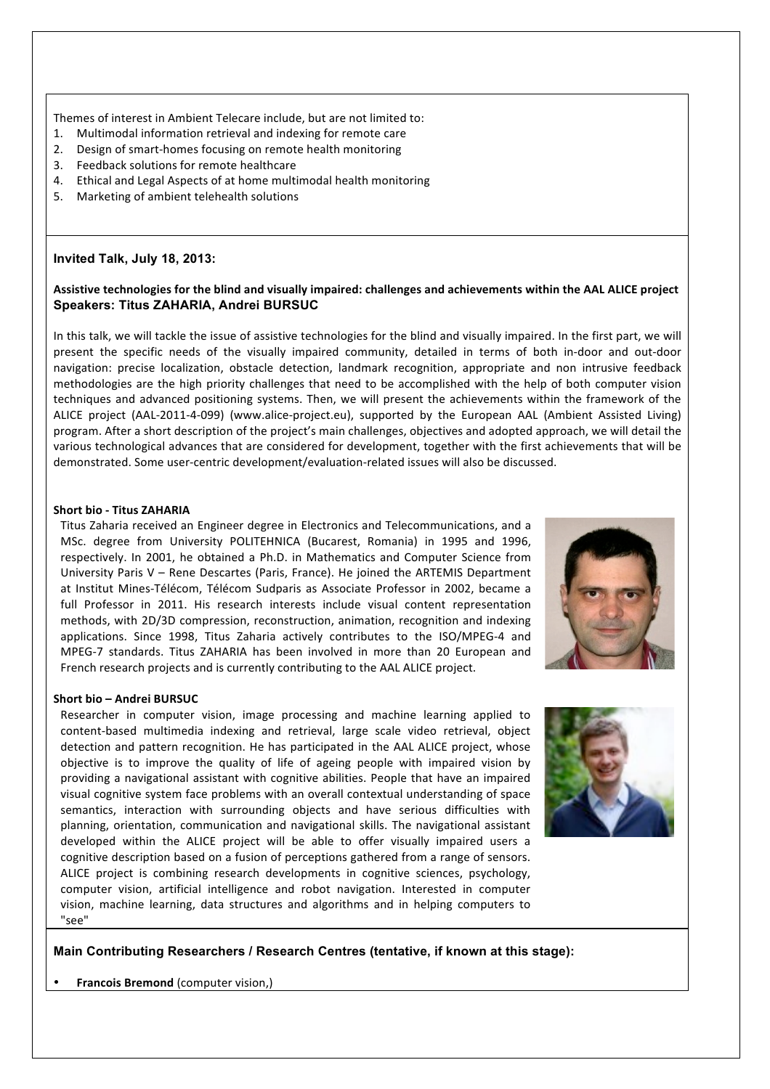Themes of interest in Ambient Telecare include, but are not limited to:

- 1. Multimodal information retrieval and indexing for remote care
- 2. Design of smart-homes focusing on remote health monitoring
- 3. Feedback solutions for remote healthcare
- 4. Ethical and Legal Aspects of at home multimodal health monitoring
- 5. Marketing of ambient telehealth solutions

#### **Invited Talk, July 18, 2013:**

#### Assistive technologies for the blind and visually impaired: challenges and achievements within the AAL ALICE project **Speakers: Titus ZAHARIA, Andrei BURSUC**

In this talk, we will tackle the issue of assistive technologies for the blind and visually impaired. In the first part, we will present the specific needs of the visually impaired community, detailed in terms of both in-door and out-door navigation: precise localization, obstacle detection, landmark recognition, appropriate and non intrusive feedback methodologies are the high priority challenges that need to be accomplished with the help of both computer vision techniques and advanced positioning systems. Then, we will present the achievements within the framework of the ALICE project (AAL-2011-4-099) (www.alice-project.eu), supported by the European AAL (Ambient Assisted Living) program. After a short description of the project's main challenges, objectives and adopted approach, we will detail the various technological advances that are considered for development, together with the first achievements that will be demonstrated. Some user-centric development/evaluation-related issues will also be discussed.

#### **Short bio - Titus ZAHARIA**

Titus Zaharia received an Engineer degree in Electronics and Telecommunications, and a MSc. degree from University POLITEHNICA (Bucarest, Romania) in 1995 and 1996, respectively. In 2001, he obtained a Ph.D. in Mathematics and Computer Science from University Paris V – Rene Descartes (Paris, France). He joined the ARTEMIS Department at Institut Mines-Télécom, Télécom Sudparis as Associate Professor in 2002, became a full Professor in 2011. His research interests include visual content representation methods, with 2D/3D compression, reconstruction, animation, recognition and indexing applications. Since 1998, Titus Zaharia actively contributes to the ISO/MPEG-4 and MPEG-7 standards. Titus ZAHARIA has been involved in more than 20 European and French research projects and is currently contributing to the AAL ALICE project.



#### **Short bio – Andrei BURSUC**

Researcher in computer vision, image processing and machine learning applied to content-based multimedia indexing and retrieval, large scale video retrieval, object detection and pattern recognition. He has participated in the AAL ALICE project, whose objective is to improve the quality of life of ageing people with impaired vision by providing a navigational assistant with cognitive abilities. People that have an impaired visual cognitive system face problems with an overall contextual understanding of space semantics, interaction with surrounding objects and have serious difficulties with planning, orientation, communication and navigational skills. The navigational assistant developed within the ALICE project will be able to offer visually impaired users a cognitive description based on a fusion of perceptions gathered from a range of sensors. ALICE project is combining research developments in cognitive sciences, psychology, computer vision, artificial intelligence and robot navigation. Interested in computer vision, machine learning, data structures and algorithms and in helping computers to "see"



**Main Contributing Researchers / Research Centres (tentative, if known at this stage):**

**Francois Bremond** (computer vision,)